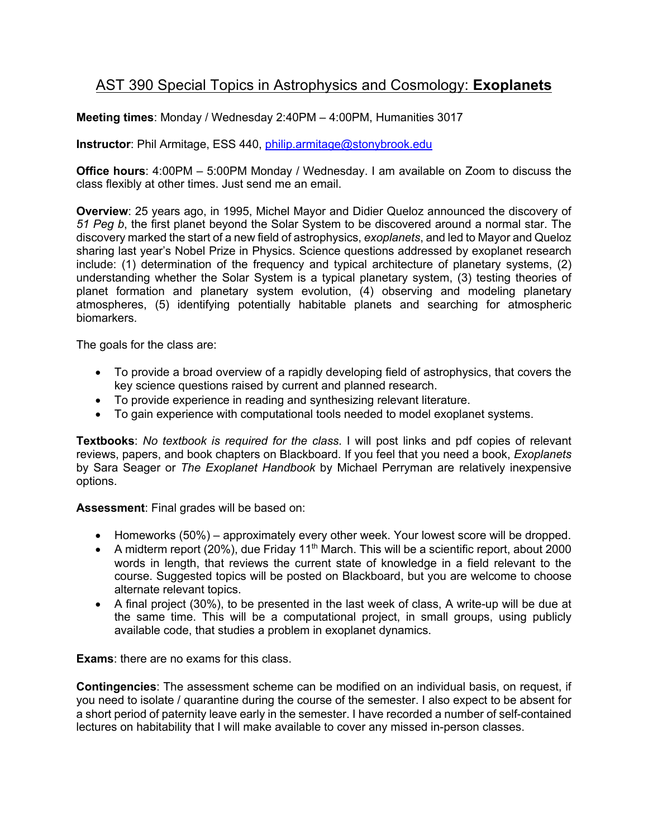## AST 390 Special Topics in Astrophysics and Cosmology: **Exoplanets**

**Meeting times**: Monday / Wednesday 2:40PM – 4:00PM, Humanities 3017

**Instructor**: Phil Armitage, ESS 440, philip.armitage@stonybrook.edu

**Office hours**: 4:00PM – 5:00PM Monday / Wednesday. I am available on Zoom to discuss the class flexibly at other times. Just send me an email.

**Overview**: 25 years ago, in 1995, Michel Mayor and Didier Queloz announced the discovery of *51 Peg b*, the first planet beyond the Solar System to be discovered around a normal star. The discovery marked the start of a new field of astrophysics, *exoplanets*, and led to Mayor and Queloz sharing last year's Nobel Prize in Physics. Science questions addressed by exoplanet research include: (1) determination of the frequency and typical architecture of planetary systems, (2) understanding whether the Solar System is a typical planetary system, (3) testing theories of planet formation and planetary system evolution, (4) observing and modeling planetary atmospheres, (5) identifying potentially habitable planets and searching for atmospheric biomarkers.

The goals for the class are:

- To provide a broad overview of a rapidly developing field of astrophysics, that covers the key science questions raised by current and planned research.
- To provide experience in reading and synthesizing relevant literature.
- To gain experience with computational tools needed to model exoplanet systems.

**Textbooks**: *No textbook is required for the class*. I will post links and pdf copies of relevant reviews, papers, and book chapters on Blackboard. If you feel that you need a book, *Exoplanets*  by Sara Seager or *The Exoplanet Handbook* by Michael Perryman are relatively inexpensive options.

**Assessment**: Final grades will be based on:

- Homeworks (50%) approximately every other week. Your lowest score will be dropped.
- A midterm report (20%), due Friday 11<sup>th</sup> March. This will be a scientific report, about 2000 words in length, that reviews the current state of knowledge in a field relevant to the course. Suggested topics will be posted on Blackboard, but you are welcome to choose alternate relevant topics.
- A final project (30%), to be presented in the last week of class, A write-up will be due at the same time. This will be a computational project, in small groups, using publicly available code, that studies a problem in exoplanet dynamics.

**Exams**: there are no exams for this class.

**Contingencies**: The assessment scheme can be modified on an individual basis, on request, if you need to isolate / quarantine during the course of the semester. I also expect to be absent for a short period of paternity leave early in the semester. I have recorded a number of self-contained lectures on habitability that I will make available to cover any missed in-person classes.